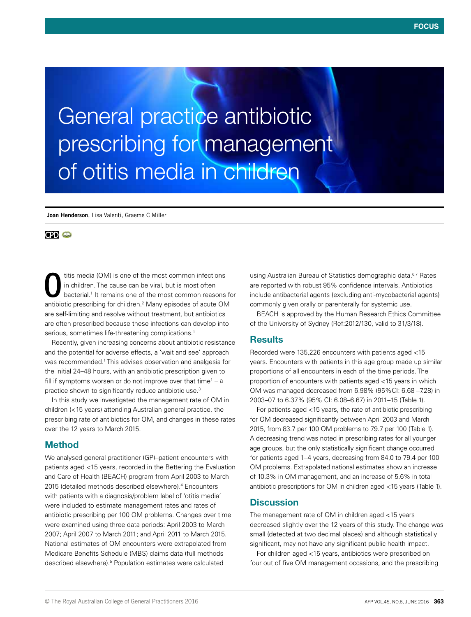General practice antibiotic prescribing for management of otitis media in children

**Joan Henderson**, Lisa Valenti, Graeme C Miller

## **CPD @**

titis media (OM) is one of the most common infections in children. The cause can be viral, but is most often bacterial.1 It remains one of the most common reasons for antibiotic prescribing for children.<sup>2</sup> Many episodes of acute OM are self-limiting and resolve without treatment, but antibiotics are often prescribed because these infections can develop into serious, sometimes life-threatening complications.<sup>1</sup> O

Recently, given increasing concerns about antibiotic resistance and the potential for adverse effects, a 'wait and see' approach was recommended.1 This advises observation and analgesia for the initial 24–48 hours, with an antibiotic prescription given to fill if symptoms worsen or do not improve over that time<sup>1</sup> – a practice shown to significantly reduce antibiotic use.3

In this study we investigated the management rate of OM in children (<15 years) attending Australian general practice, the prescribing rate of antibiotics for OM, and changes in these rates over the 12 years to March 2015.

### Method

We analysed general practitioner (GP)–patient encounters with patients aged <15 years, recorded in the Bettering the Evaluation and Care of Health (BEACH) program from April 2003 to March 2015 (detailed methods described elsewhere).<sup>4</sup> Encounters with patients with a diagnosis/problem label of 'otitis media' were included to estimate management rates and rates of antibiotic prescribing per 100 OM problems. Changes over time were examined using three data periods: April 2003 to March 2007; April 2007 to March 2011; and April 2011 to March 2015. National estimates of OM encounters were extrapolated from Medicare Benefits Schedule (MBS) claims data (full methods described elsewhere).5 Population estimates were calculated

using Australian Bureau of Statistics demographic data.6,7 Rates are reported with robust 95% confidence intervals. Antibiotics include antibacterial agents (excluding anti-mycobacterial agents) commonly given orally or parenterally for systemic use.

BEACH is approved by the Human Research Ethics Committee of the University of Sydney (Ref:2012/130, valid to 31/3/18).

# **Results**

Recorded were 135,226 encounters with patients aged <15 years. Encounters with patients in this age group made up similar proportions of all encounters in each of the time periods. The proportion of encounters with patients aged <15 years in which OM was managed decreased from 6.98% (95%CI: 6.68 –7.28) in 2003–07 to 6.37% (95% CI: 6.08–6.67) in 2011–15 (Table 1).

For patients aged <15 years, the rate of antibiotic prescribing for OM decreased significantly between April 2003 and March 2015, from 83.7 per 100 OM problems to 79.7 per 100 (Table 1). A decreasing trend was noted in prescribing rates for all younger age groups, but the only statistically significant change occurred for patients aged 1–4 years, decreasing from 84.0 to 79.4 per 100 OM problems. Extrapolated national estimates show an increase of 10.3% in OM management, and an increase of 5.6% in total antibiotic prescriptions for OM in children aged <15 years (Table 1).

### **Discussion**

The management rate of OM in children aged <15 years decreased slightly over the 12 years of this study. The change was small (detected at two decimal places) and although statistically significant, may not have any significant public health impact.

For children aged <15 years, antibiotics were prescribed on four out of five OM management occasions, and the prescribing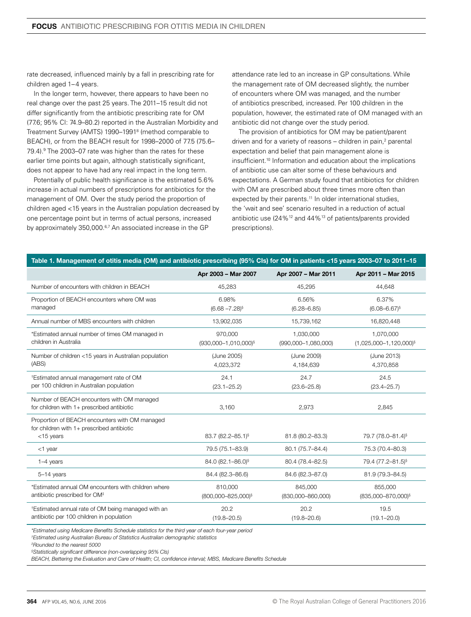rate decreased, influenced mainly by a fall in prescribing rate for children aged 1–4 years.

In the longer term, however, there appears to have been no real change over the past 25 years. The 2011–15 result did not differ significantly from the antibiotic prescribing rate for OM (77.6; 95% CI: 74.9–80.2) reported in the Australian Morbidity and Treatment Survey (AMTS) 1990–19918 (method comparable to BEACH), or from the BEACH result for 1998–2000 of 77.5 (75.6– 79.4).<sup>9</sup> The 2003–07 rate was higher than the rates for these earlier time points but again, although statistically significant, does not appear to have had any real impact in the long term.

Potentially of public health significance is the estimated 5.6% increase in actual numbers of prescriptions for antibiotics for the management of OM. Over the study period the proportion of children aged <15 years in the Australian population decreased by one percentage point but in terms of actual persons, increased by approximately 350,000.<sup>6,7</sup> An associated increase in the GP

attendance rate led to an increase in GP consultations. While the management rate of OM decreased slightly, the number of encounters where OM was managed, and the number of antibiotics prescribed, increased. Per 100 children in the population, however, the estimated rate of OM managed with an antibiotic did not change over the study period.

The provision of antibiotics for OM may be patient/parent driven and for a variety of reasons – children in pain,<sup>2</sup> parental expectation and belief that pain management alone is insufficient.10 Information and education about the implications of antibiotic use can alter some of these behaviours and expectations. A German study found that antibiotics for children with OM are prescribed about three times more often than expected by their parents.<sup>11</sup> In older international studies, the 'wait and see' scenario resulted in a reduction of actual antibiotic use (24%12 and 44%13 of patients/parents provided prescriptions).

| Table 1. Management of otitis media (OM) and antibiotic prescribing (95% CIs) for OM in patients <15 years 2003-07 to 2011-15 |  |  |  |  |  |  |
|-------------------------------------------------------------------------------------------------------------------------------|--|--|--|--|--|--|
|                                                                                                                               |  |  |  |  |  |  |
|                                                                                                                               |  |  |  |  |  |  |

|                                                                                                                | Apr 2003 - Mar 2007                         | Apr 2007 - Mar 2011                  | Apr 2011 - Mar 2015                       |  |  |
|----------------------------------------------------------------------------------------------------------------|---------------------------------------------|--------------------------------------|-------------------------------------------|--|--|
| Number of encounters with children in BEACH                                                                    | 45,283                                      | 45,295                               | 44,648                                    |  |  |
| Proportion of BEACH encounters where OM was<br>managed                                                         | 6.98%<br>$(6.68 - 7.28)^{6}$                | 6.56%<br>$(6.28 - 6.85)$             | 6.37%<br>$(6.08 - 6.67)^{s}$              |  |  |
| Annual number of MBS encounters with children                                                                  | 13,902,035                                  | 15,739,162                           | 16,820,448                                |  |  |
| *Estimated annual number of times OM managed in<br>children in Australia                                       | 970.000<br>(930,000-1,010,000) <sup>§</sup> | 1.030.000<br>$(990,000 - 1,080,000)$ | 1.070.000<br>$(1,025,000-1,120,000)^{6}$  |  |  |
| Number of children <15 years in Australian population<br>(ABS)                                                 | (June 2005)<br>4,023,372                    | (June 2009)<br>4,184,639             | (June 2013)<br>4,370,858                  |  |  |
| <sup>†</sup> Estimated annual management rate of OM<br>per 100 children in Australian population               | 24.1<br>$(23.1 - 25.2)$                     | 24.7<br>$(23.6 - 25.8)$              | 24.5<br>$(23.4 - 25.7)$                   |  |  |
| Number of BEACH encounters with OM managed<br>for children with 1+ prescribed antibiotic                       | 3,160                                       | 2,973                                | 2,845                                     |  |  |
| Proportion of BEACH encounters with OM managed<br>for children with $1+$ prescribed antibiotic<br>$<$ 15 years | 83.7 (82.2-85.1)                            | 81.8 (80.2-83.3)                     | 79.7 (78.0–81.4) <sup>§</sup>             |  |  |
| $<$ 1 year                                                                                                     | 79.5 (75.1-83.9)                            | 80.1 (75.7-84.4)                     | 75.3 (70.4-80.3)                          |  |  |
| $1-4$ years                                                                                                    | 84.0 (82.1-86.0) <sup>§</sup>               | 80.4 (78.4-82.5)                     | 79.4 (77.2-81.5) <sup>§</sup>             |  |  |
| 5-14 years                                                                                                     | 84.4 (82.3-86.6)                            | 84.6 (82.3-87.0)                     | 81.9 (79.3-84.5)                          |  |  |
| *Estimated annual OM encounters with children where<br>antibiotic prescribed for OM <sup>‡</sup>               | 810,000<br>(800,000-825,000) <sup>§</sup>   | 845,000<br>$(830,000 - 860,000)$     | 855,000<br>(835,000-870,000) <sup>§</sup> |  |  |
| <sup>†</sup> Estimated annual rate of OM being managed with an<br>antibiotic per 100 children in population    | 20.2<br>$(19.8 - 20.5)$                     | 20.2<br>$(19.8 - 20.6)$              | 19.5<br>$(19.1 - 20.0)$                   |  |  |

*\*Estimated using Medicare Benefits Schedule statistics for the third year of each four-year period*

*† Estimated using Australian Bureau of Statistics Australian demographic statistics*

*‡ Rounded to the nearest 5000* 

*§ Statistically significant difference (non-overlapping 95% CIs)*

*BEACH, Bettering the Evaluation and Care of Health; CI, confidence interval; MBS, Medicare Benefits Schedule*